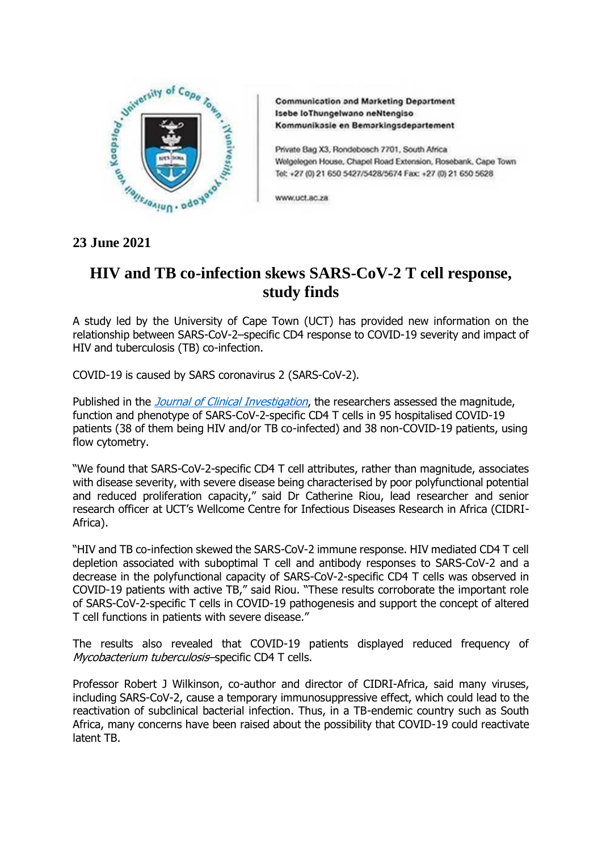

**Communication and Marketing Department** Isebe loThungelwano neNtengiso Kommunikasie en Bemarkingsdepartement

Private Bag X3, Rondebosch 7701, South Africa Welgelegen House, Chapel Road Extension, Rosebank, Cape Town Tel: +27 (0) 21 650 5427/5428/5674 Fax: +27 (0) 21 650 5628

www.uct.ac.za

## **23 June 2021**

## **HIV and TB co-infection skews SARS-CoV-2 T cell response, study finds**

A study led by the University of Cape Town (UCT) has provided new information on the relationship between SARS-CoV-2–specific CD4 response to COVID-19 severity and impact of HIV and tuberculosis (TB) co-infection.

COVID-19 is caused by SARS coronavirus 2 (SARS-CoV-2).

Published in the *[Journal of Clinical Investigation](https://www.jci.org/articles/view/149125#top)*, the researchers assessed the magnitude, function and phenotype of SARS-CoV-2-specific CD4 T cells in 95 hospitalised COVID-19 patients (38 of them being HIV and/or TB co-infected) and 38 non-COVID-19 patients, using flow cytometry.

"We found that SARS-CoV-2-specific CD4 T cell attributes, rather than magnitude, associates with disease severity, with severe disease being characterised by poor polyfunctional potential and reduced proliferation capacity," said Dr Catherine Riou, lead researcher and senior research officer at UCT's Wellcome Centre for Infectious Diseases Research in Africa (CIDRI-Africa).

"HIV and TB co-infection skewed the SARS-CoV-2 immune response. HIV mediated CD4 T cell depletion associated with suboptimal T cell and antibody responses to SARS-CoV-2 and a decrease in the polyfunctional capacity of SARS-CoV-2-specific CD4 T cells was observed in COVID-19 patients with active TB," said Riou. "These results corroborate the important role of SARS-CoV-2-specific T cells in COVID-19 pathogenesis and support the concept of altered T cell functions in patients with severe disease."

The results also revealed that COVID-19 patients displayed reduced frequency of Mycobacterium tuberculosis-specific CD4 T cells.

Professor Robert J Wilkinson, co-author and director of CIDRI-Africa, said many viruses, including SARS-CoV-2, cause a temporary immunosuppressive effect, which could lead to the reactivation of subclinical bacterial infection. Thus, in a TB-endemic country such as South Africa, many concerns have been raised about the possibility that COVID-19 could reactivate latent TB.